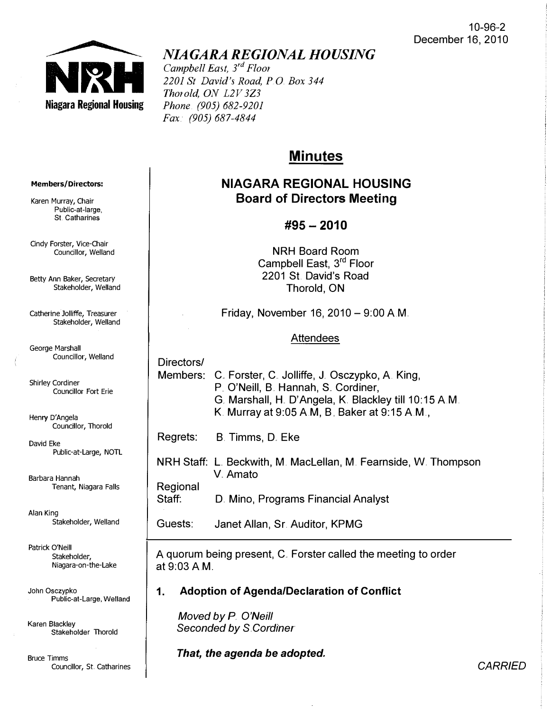

# NIAGARA REGIONAL HOUSING

Campbell East,  $3^{rd}$  Floor 2201 St David's Road, P.O. Box 344 Thorold, ON L2V 3Z3 Phone. (905) 682-9201 Fax (905) 687-4844

## **Minutes**

## NIAGARA REGIONAL HOUSING Board of Directors Meeting

### #95 - 2010

NRH Board Room Campbell East, 3<sup>rd</sup> Floor 2201 St David's Road Thorold, ON

Friday, November 16, 2010  $-$  9:00 A.M.

### **Attendees**

Directors/

Members: C. Forster, C. Jolliffe, J. Osczypko, A. King, P. O'Neill, B. Hannah, S. Cordiner, G. Marshall, H. D'Angela, K. Blackley till 10:15 A.M. K. Murray at 9:05 AM, B Baker at 9:15 AM. ,

Regrets: B. Timms, D. Eke

NRH Staff: L Beckwith, M. MacLellan, M. Fearnside, W. Thompson V.Amato

**Regional** 

Staff: D. Mina, Programs Financial Analyst

Guests: Janet Allan, Sr. Auditor, KPMG

A quorum being present, C. Forster called the meeting to order at 9:03 AM..

### 1. Adoption of AgendalDeclaration of Conflict

Moved by P O'Neill Seconded by S.Cordiner

That, the agenda be adopted.

#### Members/Directors:

Karen Murray, Chair Public-at-Iarge, St, Catharines

Cindy Forster, Vice-Chair Councillor, Welland

Betty Ann Baker, Secretar y Stakeholder, Welland

Catherine Jolliffe, Treasurer Stakeholder, Welland

George Marshall Councillor, Welland

Shirley Cordiner Councillor Fort Erie

Henry D'Angela Councillor, Thorold

David Eke Public-at-Large, NOTL

Barbara Hannah Tenant, Niagara Falls

Alan King Stakeholder, Welland

Patrick O'Neill Stakeholder, Niagara-on-the-Lake

John Osczypko Public-at-Large, Welland

<sup>K</sup>ar<sup>e</sup>n <sup>B</sup>lackle<sup>y</sup> Stakeholder Thorold

**Bruce Timms** Councillor, St. Catharines

**CARRIED**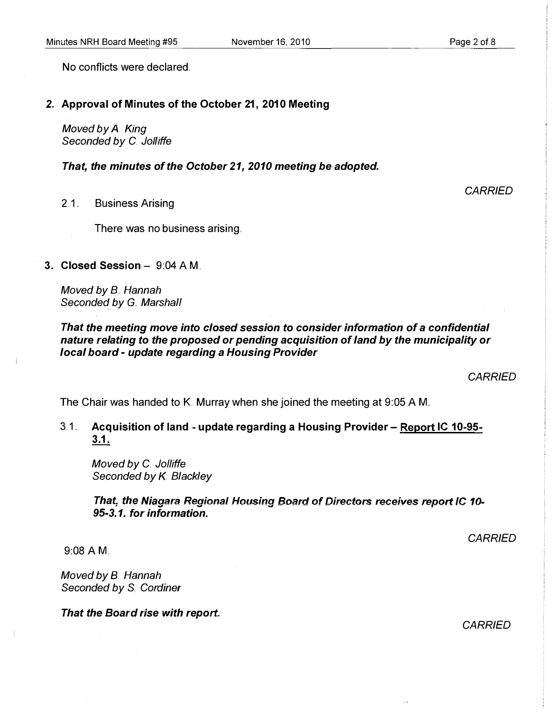Page 2 of 8

No conflicts were declared

#### 2" Approval of Minutes of the October 21, 2010 Meeting

Moved by A. King Seconded by C. Jolliffe

That, the minutes of the October 21, 2010 meeting be adopted.

2.1.. Business Arising

There was no business arising ..

3. Closed Session - 9:04 A.M.

Moved by B. Hannah Seconded by G. Marshall

That the meeting move into closed session to consider information of a confidential nature relating to the proposed or pending acquisition of land by the municipality or local board - update regarding a Housing Provider

**CARRIED** 

The Chair was handed to K. Murray when she joined the meeting at 9:05 A M.

3.1. Acquisition of land - update regarding a Housing Provider – Report IC 10-95-3.1.

Moved by C. Jolliffe Seconded by K. Blackley

That, the Niagara Regional Housing Board of Directors receives report IC 10-95-3.1. for information.

**CARRIED** 

9:08 AM..

Moved by B. Hannah Seconded by S. Cordiner

That the Board rise with report.

CARRIED

**CARRIED**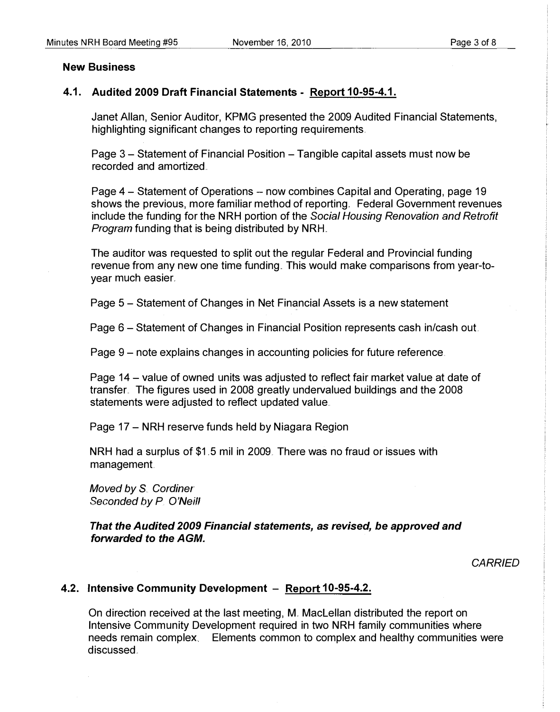#### New Business

#### 4.1. Audited 2009 Draft Financial Statements - Report 10-95-4.1.

Janet Allan, Senior Auditor, KPMG presented the 2009 Audited Financial Statements, highlighting significant changes to reporting requirements.

Page 3 – Statement of Financial Position – Tangible capital assets must now be recorded and amortized ..

Page 4 - Statement of Operations - now combines Capital and Operating, page 19 shows the previous, more familiar method of reporting. Federal Government revenues include the funding for the NRH portion of the Social Housing Renovation and Retrofit Program funding that is being distributed by NRH.

The auditor was requested to split out the regular Federal and Provincial funding revenue from any new one time funding. This would make comparisons from year-toyear much easier.

Page 5 - Statement of Changes in Net Financial Assets is a new statement

Page 6 – Statement of Changes in Financial Position represents cash in/cash out.

Page 9 – note explains changes in accounting policies for future reference.

Page 14 – value of owned units was adjusted to reflect fair market value at date of transfer.. The figures used in 2008 greatly undervalued buildings and the 2008 statements were adjusted to reflect updated value.

Page 17 – NRH reserve funds held by Niagara Region

NRH had a surplus of \$1.5 mil in 2009. There was no fraud or issues with management.

Moved by S. Cordiner Seconded by P. O'Neill

That the Audited 2009 Financial statements, as revised, be approved and forwarded to the AGM.

**CARRIED** 

#### 4.2. Intensive Community Development - Report 10-95-4.2.

On direction received at the last meeting, M.. MacLellan distributed the report on Intensive Community Development required in two NRH family communities where needs remain complex Elements common to complex and healthy communities were discussed..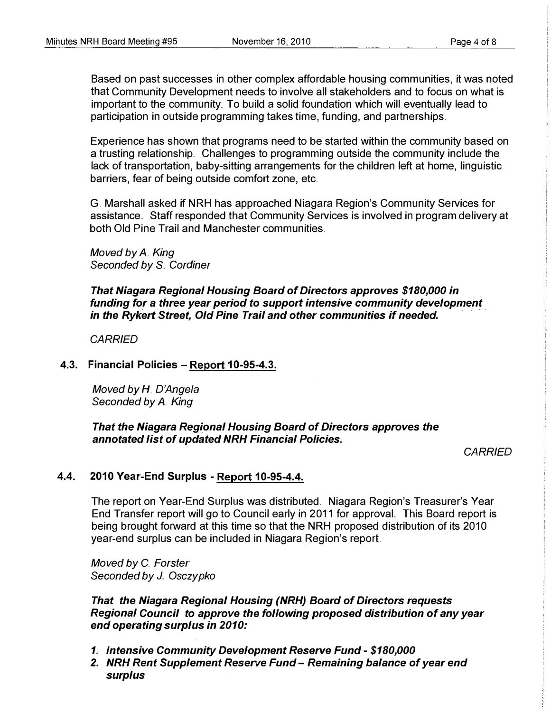Based on past successes in other complex affordable housing communities, it was noted that Community Development needs to involve all stakeholders and to focus on what is important to the community. To build a solid foundation which will eventually lead to participation in outside programming takes time, funding, and partnerships.

Experience has shown that programs need to be started within the community based on a trusting relationship. Challenges to programming outside the community include the lack of transportation, baby-sitting arrangements for the children left at home, linguistic barriers, fear of being outside comfort zone, etc.

G. Marshall asked if NRH has approached Niagara Region's Community Services for assistance.. Staff responded that Community Services is involved in program delivery at both Old Pine Trail and Manchester communities.

Moved by  $A<sub>x</sub>$  King Seconded by S. Cordiner

That Niagara Regional Housing Board of Directors approves \$180,000 in funding for a three year period to support intensive community development in the Rykerl Street, Old Pine Trail and other communities if needed.

**CARRIED** 

### 4.3. Financial Policies - Report 10-95-4.3.

Moved by  $H$  D'Angela Seconded by A. King

That the Niagara Regional Housing Board of Directors approves the annotated list of updated NRH Financial Policies.

**CARRIED** 

### 4.4. 2010 Year-End Surplus - Report 10-95-4.4.

The report on Year-End Surplus was distributed. Niagara Region's Treasurer's Year End Transfer report will go to Council early in 2011 for approval. This Board report is being brought forward at this time so that the NRH proposed distribution of its 2010 year-end surplus can be included in Niagara Region's report.

Moved by C. Forster Seconded by J. Osczypko

That the Niagara Regional Housing (NRH) Board of Directors requests Regional Council to approve the following proposed distribution of any year end operating surplus in 2010:

- 1" Intensive Community Development Reserve Fund \$180,000
- 2. NRH Rent Supplement Reserve Fund Remaining balance of year end surplus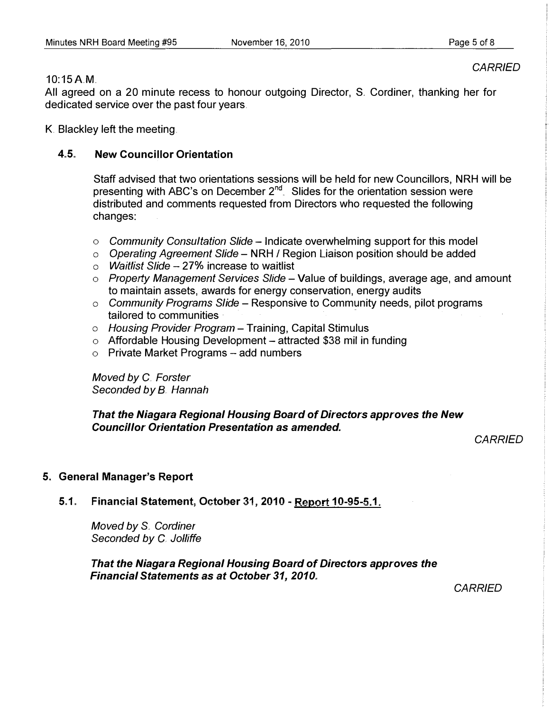CARRIED

#### 10:15AM.

All agreed on a 20 minute recess to honour outgoing Director, S. Cordiner, thanking her for dedicated service over the past four years.

K. Blackley left the meeting.

### 4.5. New Councillor Orientation

Staff advised that two orientations sessions will be held for new Councillors, NRH will be presenting with ABC's on December  $2^{nd}$ . Slides for the orientation session were distributed and comments requested from Directors who requested the following changes:

- $\circ$  Community Consultation Slide Indicate overwhelming support for this model
- $\circ$  Operating Agreement Slide NRH / Region Liaison position should be added
- $\circ$  *Waitlist Slide 27%* increase to waitlist
- $\circ$  Property Management Services Slide Value of buildings, average age, and amount to maintain assets, awards for energy conservation, energy audits
- $\circ$  Community Programs Slide Responsive to Community needs, pilot programs tailored to communities
- $\circ$  Housing Provider Program Training, Capital Stimulus
- $\circ$  Affordable Housing Development attracted \$38 mil in funding
- $\circ$  Private Market Programs add numbers

Moved by C. Forster Seconded by B. Hannah

That the Niagara Regional Housing Board of Directors approves the New Councillor Orientation Presentation as amended.

**CARRIED** 

### 5. General Manager's Report

5.1. Financial Statement, October 31, 2010 - Report 10-95-5.1.

Moved by S. Cordiner Seconded by C. Jolliffe

That the Niagara Regional Housing Board of Directors approves the **Financial Statements as at October 31, 2010.** 

CARRIED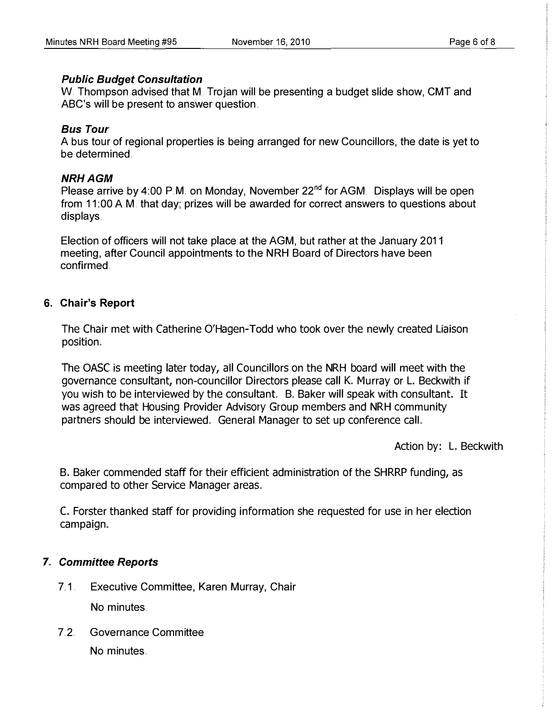#### Public Budget Consultation

W. Thompson advised that M. Trojan will be presenting a budget slide show, CMT and ABC's will be present to answer question..

### Bus Tour

A bus tour of regional properties is being arranged for new Councillors, the date is yet to be determined.

### **NRH AGM**

Please arrive by 4:00 P.M. on Monday, November 22<sup>nd</sup> for AGM. Displays will be open from 11:00 A.M. that day; prizes will be awarded for correct answers to questions about displays.

Election of officers will not take place at the AGM, but rather at the January 2011 meeting, after Council appointments to the NRH Board of Directors have been confirmed.

### 6. Chair's Report

The Chair met with Catherine O'Hagen-Todd who took over the newly created Liaison position.

The OASC is meeting later today, all Councillors on the NRH board will meet with the governance consultant, non-councillor Directors please call K. Murray or L. Beckwith if you wish to be interviewed by the consultant. B. Baker will speak with consultant. It was agreed that Housing Provider Advisory Group members and NRH community partners should be interviewed.. General Manager to set up conference call.

Action by: L. Beckwith

B. Baker commended staff for their efficient administration of the SHRRP funding, as compared to other Service Manager areas ..

C. Forster thanked staff for providing information she requested for use in her election campaign.

### 7.. Committee Reports

7.1. Executive Committee, Karen Murray, Chair

No minutes

7.2. Governance Committee No minutes ..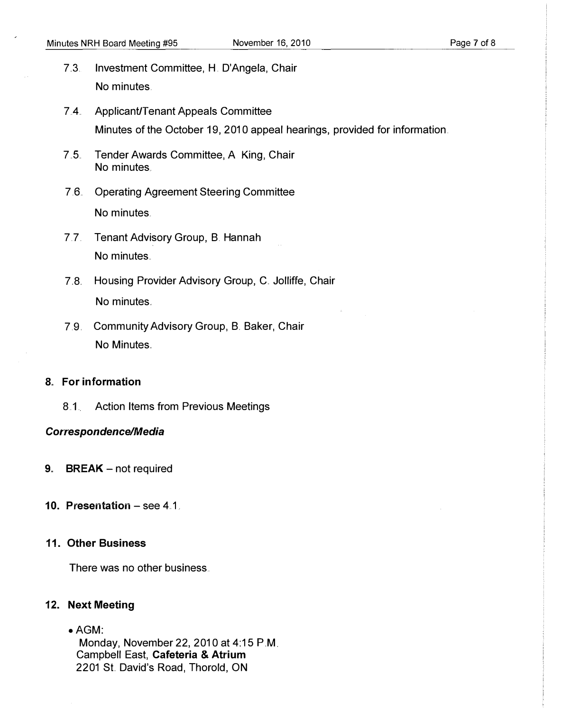- 7. 3. Investment Committee, H. D'Angela, Chair No minutes.
- 74.. ApplicanUT enant Appeals Committee Minutes of the October 19, 2010 appeal hearings, provided for information.
- 7.5. Tender Awards Committee, A. King, Chair No minutes.
- 7.6.. Operating Agreement Steering Committee No minutes.
- 7.7. Tenant Advisory Group, B. Hannah No minutes.
- 7.8. Housing Provider Advisory Group, C. Jolliffe, Chair No minutes.
- 7.9. Community Advisory Group, B. Baker, Chair No Minutes.

#### 8. For information

8.1. Action Items from Previous Meetings

#### Correspondence/Media

- **9.** BREAK  $-$  not required
- 10. Presentation  $-$  see 4.1.

#### 11. Other Business

There was no other business ..

#### 12. Next Meeting

 $\bullet$  AGM: Monday, November 22, 2010 at 4:15 PM. Campbell East, Cafeteria & Atrium 2201 St. David's Road, Thorold, ON